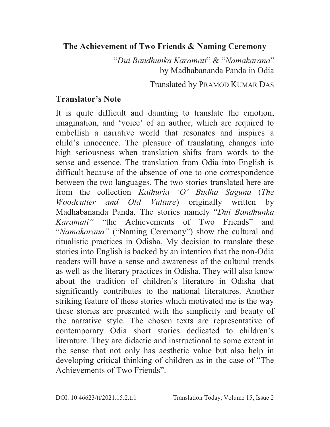# **The Achievement of Two Friends & Naming Ceremony**

"*Dui Bandhunka Karamati*" & "*Namakarana*" by Madhabananda Panda in Odia

Translated by PRAMOD KUMAR DAS

## **Translator's Note**

It is quite difficult and daunting to translate the emotion, imagination, and 'voice' of an author, which are required to embellish a narrative world that resonates and inspires a child's innocence. The pleasure of translating changes into high seriousness when translation shifts from words to the sense and essence. The translation from Odia into English is difficult because of the absence of one to one correspondence between the two languages. The two stories translated here are from the collection *Kathuria 'O' Budha Saguna* (*The Woodcutter and Old Vulture*) originally written by Madhabananda Panda. The stories namely "*Dui Bandhunka Karamati"* "the Achievements of Two Friends" and "*Namakarana"* ("Naming Ceremony") show the cultural and ritualistic practices in Odisha. My decision to translate these stories into English is backed by an intention that the non-Odia readers will have a sense and awareness of the cultural trends as well as the literary practices in Odisha. They will also know about the tradition of children's literature in Odisha that significantly contributes to the national literatures. Another striking feature of these stories which motivated me is the way these stories are presented with the simplicity and beauty of the narrative style. The chosen texts are representative of contemporary Odia short stories dedicated to children's literature. They are didactic and instructional to some extent in the sense that not only has aesthetic value but also help in developing critical thinking of children as in the case of "The Achievements of Two Friends".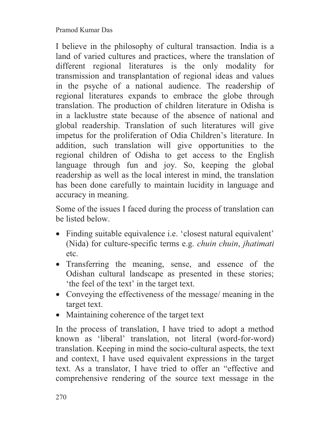I believe in the philosophy of cultural transaction. India is a land of varied cultures and practices, where the translation of different regional literatures is the only modality for transmission and transplantation of regional ideas and values in the psyche of a national audience. The readership of regional literatures expands to embrace the globe through translation. The production of children literature in Odisha is in a lacklustre state because of the absence of national and global readership. Translation of such literatures will give impetus for the proliferation of Odia Children's literature. In addition, such translation will give opportunities to the regional children of Odisha to get access to the English language through fun and joy. So, keeping the global readership as well as the local interest in mind, the translation has been done carefully to maintain lucidity in language and accuracy in meaning.

Some of the issues I faced during the process of translation can be listed below.

- Finding suitable equivalence i.e. 'closest natural equivalent' (Nida) for culture-specific terms e.g. *chuin chuin*, *jhatimati*  etc.
- Transferring the meaning, sense, and essence of the Odishan cultural landscape as presented in these stories; 'the feel of the text' in the target text.
- Conveying the effectiveness of the message/ meaning in the target text.
- Maintaining coherence of the target text

In the process of translation, I have tried to adopt a method known as 'liberal' translation, not literal (word-for-word) translation. Keeping in mind the socio-cultural aspects, the text and context, I have used equivalent expressions in the target text. As a translator, I have tried to offer an "effective and comprehensive rendering of the source text message in the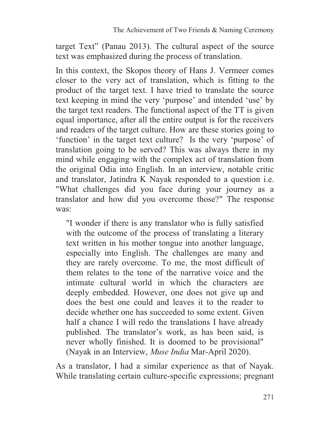target Text" (Panau 2013). The cultural aspect of the source text was emphasized during the process of translation.

In this context, the Skopos theory of Hans J. Vermeer comes closer to the very act of translation, which is fitting to the product of the target text. I have tried to translate the source text keeping in mind the very 'purpose' and intended 'use' by the target text readers. The functional aspect of the TT is given equal importance, after all the entire output is for the receivers and readers of the target culture. How are these stories going to 'function' in the target text culture? Is the very 'purpose' of translation going to be served? This was always there in my mind while engaging with the complex act of translation from the original Odia into English. In an interview, notable critic and translator, Jatindra K Nayak responded to a question i.e. "What challenges did you face during your journey as a translator and how did you overcome those?" The response was:

"I wonder if there is any translator who is fully satisfied with the outcome of the process of translating a literary text written in his mother tongue into another language, especially into English. The challenges are many and they are rarely overcome. To me, the most difficult of them relates to the tone of the narrative voice and the intimate cultural world in which the characters are deeply embedded. However, one does not give up and does the best one could and leaves it to the reader to decide whether one has succeeded to some extent. Given half a chance I will redo the translations I have already published. The translator's work, as has been said, is never wholly finished. It is doomed to be provisional" (Nayak in an Interview, *Muse India* Mar-April 2020).

As a translator, I had a similar experience as that of Nayak. While translating certain culture-specific expressions; pregnant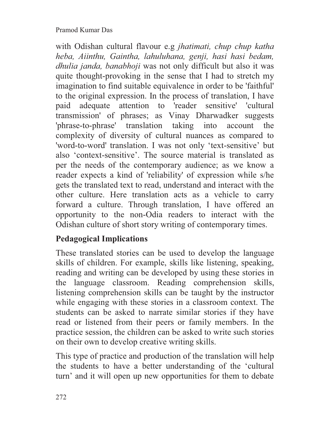with Odishan cultural flavour e.g *jhatimati, chup chup katha heba, Aiinthu, Gaintha, lahuluhana, genji, hasi hasi bedam, dhulia janda, banabhoji* was not only difficult but also it was quite thought-provoking in the sense that I had to stretch my imagination to find suitable equivalence in order to be 'faithful' to the original expression. In the process of translation, I have paid adequate attention to 'reader sensitive' 'cultural transmission' of phrases; as Vinay Dharwadker suggests 'phrase-to-phrase' translation taking into account the complexity of diversity of cultural nuances as compared to 'word-to-word' translation. I was not only 'text-sensitive' but also 'context-sensitive'. The source material is translated as per the needs of the contemporary audience; as we know a reader expects a kind of 'reliability' of expression while s/he gets the translated text to read, understand and interact with the other culture. Here translation acts as a vehicle to carry forward a culture. Through translation, I have offered an opportunity to the non-Odia readers to interact with the Odishan culture of short story writing of contemporary times.

# **Pedagogical Implications**

These translated stories can be used to develop the language skills of children. For example, skills like listening, speaking, reading and writing can be developed by using these stories in the language classroom. Reading comprehension skills, listening comprehension skills can be taught by the instructor while engaging with these stories in a classroom context. The students can be asked to narrate similar stories if they have read or listened from their peers or family members. In the practice session, the children can be asked to write such stories on their own to develop creative writing skills.

This type of practice and production of the translation will help the students to have a better understanding of the 'cultural turn' and it will open up new opportunities for them to debate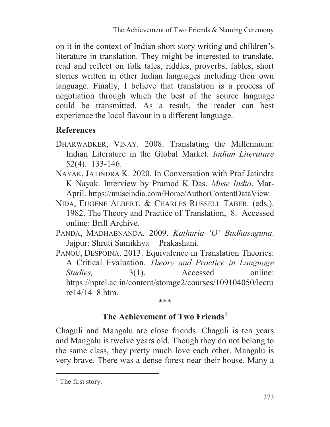on it in the context of Indian short story writing and children's literature in translation. They might be interested to translate, read and reflect on folk tales, riddles, proverbs, fables, short stories written in other Indian languages including their own language. Finally, I believe that translation is a process of negotiation through which the best of the source language could be transmitted. As a result, the reader can best experience the local flavour in a different language.

# **References**

- DHARWADKER, VINAY. 2008. Translating the Millennium: Indian Literature in the Global Market. *Indian Literature* 52(4). 133-146.
- NAYAK, JATINDRA K. 2020. In Conversation with Prof Jatindra K Nayak. Interview by Pramod K Das. *Muse India*, Mar-April. https://museindia.com/Home/AuthorContentDataView.
- NIDA, EUGENE ALBERT, & CHARLES RUSSELL TABER. (eds.). 1982. The Theory and Practice of Translation, 8. Accessed online: Brill Archive.
- PANDA, MADHABNANDA*.* 2009. *Kathuria 'O' Budhasaguna*. Jajpur: Shruti Samikhya Prakashani.
- PANOU, DESPOINA. 2013. Equivalence in Translation Theories: A Critical Evaluation. *Theory and Practice in Language Studies*,  $3(1)$ . Accessed online: https://nptel.ac.in/content/storage2/courses/109104050/lectu re14/14\_8.htm.

\*\*\*

# **The Achievement of Two Friends<sup>1</sup>**

Chaguli and Mangalu are close friends. Chaguli is ten years and Mangalu is twelve years old. Though they do not belong to the same class, they pretty much love each other. Mangalu is very brave. There was a dense forest near their house. Many a

 $\overline{a}$ 

<sup>&</sup>lt;sup>1</sup> The first story.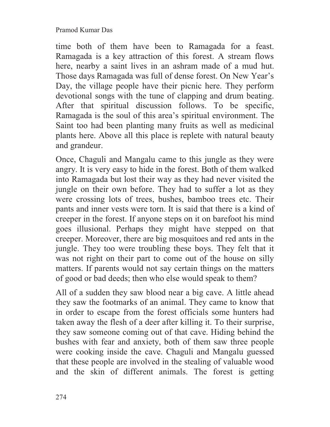time both of them have been to Ramagada for a feast. Ramagada is a key attraction of this forest. A stream flows here, nearby a saint lives in an ashram made of a mud hut. Those days Ramagada was full of dense forest. On New Year's Day, the village people have their picnic here. They perform devotional songs with the tune of clapping and drum beating. After that spiritual discussion follows. To be specific, Ramagada is the soul of this area's spiritual environment. The Saint too had been planting many fruits as well as medicinal plants here. Above all this place is replete with natural beauty and grandeur.

Once, Chaguli and Mangalu came to this jungle as they were angry. It is very easy to hide in the forest. Both of them walked into Ramagada but lost their way as they had never visited the jungle on their own before. They had to suffer a lot as they were crossing lots of trees, bushes, bamboo trees etc. Their pants and inner vests were torn. It is said that there is a kind of creeper in the forest. If anyone steps on it on barefoot his mind goes illusional. Perhaps they might have stepped on that creeper. Moreover, there are big mosquitoes and red ants in the jungle. They too were troubling these boys. They felt that it was not right on their part to come out of the house on silly matters. If parents would not say certain things on the matters of good or bad deeds; then who else would speak to them?

All of a sudden they saw blood near a big cave. A little ahead they saw the footmarks of an animal. They came to know that in order to escape from the forest officials some hunters had taken away the flesh of a deer after killing it. To their surprise, they saw someone coming out of that cave. Hiding behind the bushes with fear and anxiety, both of them saw three people were cooking inside the cave. Chaguli and Mangalu guessed that these people are involved in the stealing of valuable wood and the skin of different animals. The forest is getting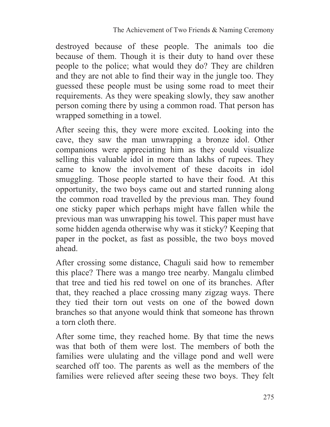destroyed because of these people. The animals too die because of them. Though it is their duty to hand over these people to the police; what would they do? They are children and they are not able to find their way in the jungle too. They guessed these people must be using some road to meet their requirements. As they were speaking slowly, they saw another person coming there by using a common road. That person has wrapped something in a towel.

After seeing this, they were more excited. Looking into the cave, they saw the man unwrapping a bronze idol. Other companions were appreciating him as they could visualize selling this valuable idol in more than lakhs of rupees. They came to know the involvement of these dacoits in idol smuggling. Those people started to have their food. At this opportunity, the two boys came out and started running along the common road travelled by the previous man. They found one sticky paper which perhaps might have fallen while the previous man was unwrapping his towel. This paper must have some hidden agenda otherwise why was it sticky? Keeping that paper in the pocket, as fast as possible, the two boys moved ahead.

After crossing some distance, Chaguli said how to remember this place? There was a mango tree nearby. Mangalu climbed that tree and tied his red towel on one of its branches. After that, they reached a place crossing many zigzag ways. There they tied their torn out vests on one of the bowed down branches so that anyone would think that someone has thrown a torn cloth there.

After some time, they reached home. By that time the news was that both of them were lost. The members of both the families were ululating and the village pond and well were searched off too. The parents as well as the members of the families were relieved after seeing these two boys. They felt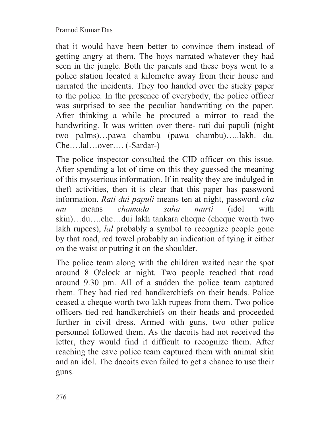that it would have been better to convince them instead of getting angry at them. The boys narrated whatever they had seen in the jungle. Both the parents and these boys went to a police station located a kilometre away from their house and narrated the incidents. They too handed over the sticky paper to the police. In the presence of everybody, the police officer was surprised to see the peculiar handwriting on the paper. After thinking a while he procured a mirror to read the handwriting. It was written over there- rati dui papuli (night two palms)…pawa chambu (pawa chambu)…..lakh. du. Che….lal…over…. (-Sardar-)

The police inspector consulted the CID officer on this issue. After spending a lot of time on this they guessed the meaning of this mysterious information. If in reality they are indulged in theft activities, then it is clear that this paper has password information. *Rati dui papuli* means ten at night, password *cha mu* means *chamada saha murti* (idol with skin)…du….che…dui lakh tankara cheque (cheque worth two lakh rupees), *lal* probably a symbol to recognize people gone by that road, red towel probably an indication of tying it either on the waist or putting it on the shoulder.

The police team along with the children waited near the spot around 8 O'clock at night. Two people reached that road around 9.30 pm. All of a sudden the police team captured them. They had tied red handkerchiefs on their heads. Police ceased a cheque worth two lakh rupees from them. Two police officers tied red handkerchiefs on their heads and proceeded further in civil dress. Armed with guns, two other police personnel followed them. As the dacoits had not received the letter, they would find it difficult to recognize them. After reaching the cave police team captured them with animal skin and an idol. The dacoits even failed to get a chance to use their guns.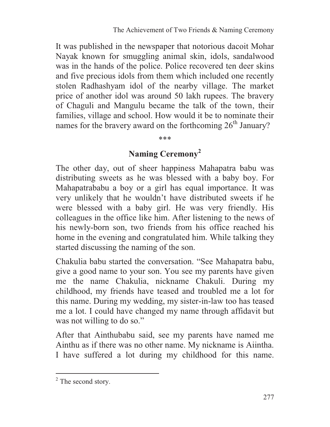It was published in the newspaper that notorious dacoit Mohar Nayak known for smuggling animal skin, idols, sandalwood was in the hands of the police. Police recovered ten deer skins and five precious idols from them which included one recently stolen Radhashyam idol of the nearby village. The market price of another idol was around 50 lakh rupees. The bravery of Chaguli and Mangulu became the talk of the town, their families, village and school. How would it be to nominate their names for the bravery award on the forthcoming  $26<sup>th</sup>$  January?

#### \*\*\*

# **Naming Ceremony<sup>2</sup>**

The other day, out of sheer happiness Mahapatra babu was distributing sweets as he was blessed with a baby boy. For Mahapatrababu a boy or a girl has equal importance. It was very unlikely that he wouldn't have distributed sweets if he were blessed with a baby girl. He was very friendly. His colleagues in the office like him. After listening to the news of his newly-born son, two friends from his office reached his home in the evening and congratulated him. While talking they started discussing the naming of the son.

Chakulia babu started the conversation. "See Mahapatra babu, give a good name to your son. You see my parents have given me the name Chakulia, nickname Chakuli. During my childhood, my friends have teased and troubled me a lot for this name. During my wedding, my sister-in-law too has teased me a lot. I could have changed my name through affidavit but was not willing to do so."

After that Ainthubabu said, see my parents have named me Ainthu as if there was no other name. My nickname is Aiintha. I have suffered a lot during my childhood for this name.

 $\overline{a}$ 

<sup>&</sup>lt;sup>2</sup> The second story.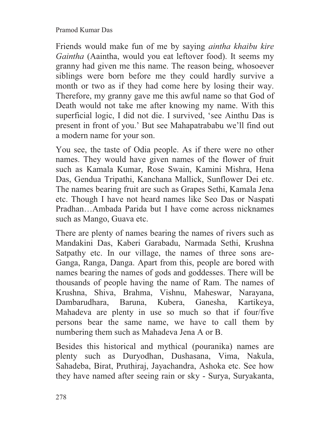Friends would make fun of me by saying *aintha khaibu kire Gaintha* (Aaintha, would you eat leftover food). It seems my granny had given me this name. The reason being, whosoever siblings were born before me they could hardly survive a month or two as if they had come here by losing their way. Therefore, my granny gave me this awful name so that God of Death would not take me after knowing my name. With this superficial logic, I did not die. I survived, 'see Ainthu Das is present in front of you.' But see Mahapatrababu we'll find out a modern name for your son.

You see, the taste of Odia people. As if there were no other names. They would have given names of the flower of fruit such as Kamala Kumar, Rose Swain, Kamini Mishra, Hena Das, Gendua Tripathi, Kanchana Mallick, Sunflower Dei etc. The names bearing fruit are such as Grapes Sethi, Kamala Jena etc. Though I have not heard names like Seo Das or Naspati Pradhan…Ambada Parida but I have come across nicknames such as Mango, Guava etc.

There are plenty of names bearing the names of rivers such as Mandakini Das, Kaberi Garabadu, Narmada Sethi, Krushna Satpathy etc. In our village, the names of three sons are-Ganga, Ranga, Danga. Apart from this, people are bored with names bearing the names of gods and goddesses. There will be thousands of people having the name of Ram. The names of Krushna, Shiva, Brahma, Vishnu, Maheswar, Narayana, Dambarudhara, Baruna, Kubera, Ganesha, Kartikeya, Mahadeva are plenty in use so much so that if four/five persons bear the same name, we have to call them by numbering them such as Mahadeva Jena A or B.

Besides this historical and mythical (pouranika) names are plenty such as Duryodhan, Dushasana, Vima, Nakula, Sahadeba, Birat, Pruthiraj, Jayachandra, Ashoka etc. See how they have named after seeing rain or sky - Surya, Suryakanta,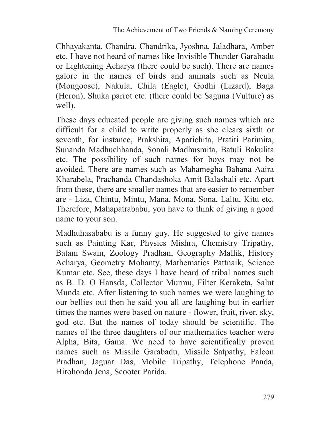Chhayakanta, Chandra, Chandrika, Jyoshna, Jaladhara, Amber etc. I have not heard of names like Invisible Thunder Garabadu or Lightening Acharya (there could be such). There are names galore in the names of birds and animals such as Neula (Mongoose), Nakula, Chila (Eagle), Godhi (Lizard), Baga (Heron), Shuka parrot etc. (there could be Saguna (Vulture) as well).

These days educated people are giving such names which are difficult for a child to write properly as she clears sixth or seventh, for instance, Prakshita, Aparichita, Pratiti Parimita, Sunanda Madhuchhanda, Sonali Madhusmita, Batuli Bakulita etc. The possibility of such names for boys may not be avoided. There are names such as Mahamegha Bahana Aaira Kharabela, Prachanda Chandashoka Amit Balashali etc. Apart from these, there are smaller names that are easier to remember are - Liza, Chintu, Mintu, Mana, Mona, Sona, Laltu, Kitu etc. Therefore, Mahapatrababu, you have to think of giving a good name to your son.

Madhuhasababu is a funny guy. He suggested to give names such as Painting Kar, Physics Mishra, Chemistry Tripathy, Batani Swain, Zoology Pradhan, Geography Mallik, History Acharya, Geometry Mohanty, Mathematics Pattnaik, Science Kumar etc. See, these days I have heard of tribal names such as B. D. O Hansda, Collector Murmu, Filter Keraketa, Salut Munda etc. After listening to such names we were laughing to our bellies out then he said you all are laughing but in earlier times the names were based on nature - flower, fruit, river, sky, god etc. But the names of today should be scientific. The names of the three daughters of our mathematics teacher were Alpha, Bita, Gama. We need to have scientifically proven names such as Missile Garabadu, Missile Satpathy, Falcon Pradhan, Jaguar Das, Mobile Tripathy, Telephone Panda, Hirohonda Jena, Scooter Parida.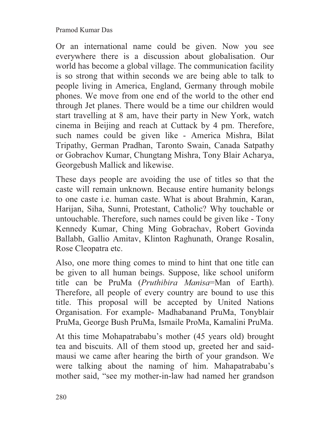Or an international name could be given. Now you see everywhere there is a discussion about globalisation. Our world has become a global village. The communication facility is so strong that within seconds we are being able to talk to people living in America, England, Germany through mobile phones. We move from one end of the world to the other end through Jet planes. There would be a time our children would start travelling at 8 am, have their party in New York, watch cinema in Beijing and reach at Cuttack by 4 pm. Therefore, such names could be given like - America Mishra, Bilat Tripathy, German Pradhan, Taronto Swain, Canada Satpathy or Gobrachov Kumar, Chungtang Mishra, Tony Blair Acharya, Georgebush Mallick and likewise.

These days people are avoiding the use of titles so that the caste will remain unknown. Because entire humanity belongs to one caste i.e. human caste. What is about Brahmin, Karan, Harijan, Siha, Sunni, Protestant, Catholic? Why touchable or untouchable. Therefore, such names could be given like - Tony Kennedy Kumar, Ching Ming Gobrachav, Robert Govinda Ballabh, Gallio Amitav, Klinton Raghunath, Orange Rosalin, Rose Cleopatra etc.

Also, one more thing comes to mind to hint that one title can be given to all human beings. Suppose, like school uniform title can be PruMa (*Pruthibira Manisa*=Man of Earth). Therefore, all people of every country are bound to use this title. This proposal will be accepted by United Nations Organisation. For example- Madhabanand PruMa, Tonyblair PruMa, George Bush PruMa, Ismaile ProMa, Kamalini PruMa.

At this time Mohapatrababu's mother (45 years old) brought tea and biscuits. All of them stood up, greeted her and saidmausi we came after hearing the birth of your grandson. We were talking about the naming of him. Mahapatrababu's mother said, "see my mother-in-law had named her grandson